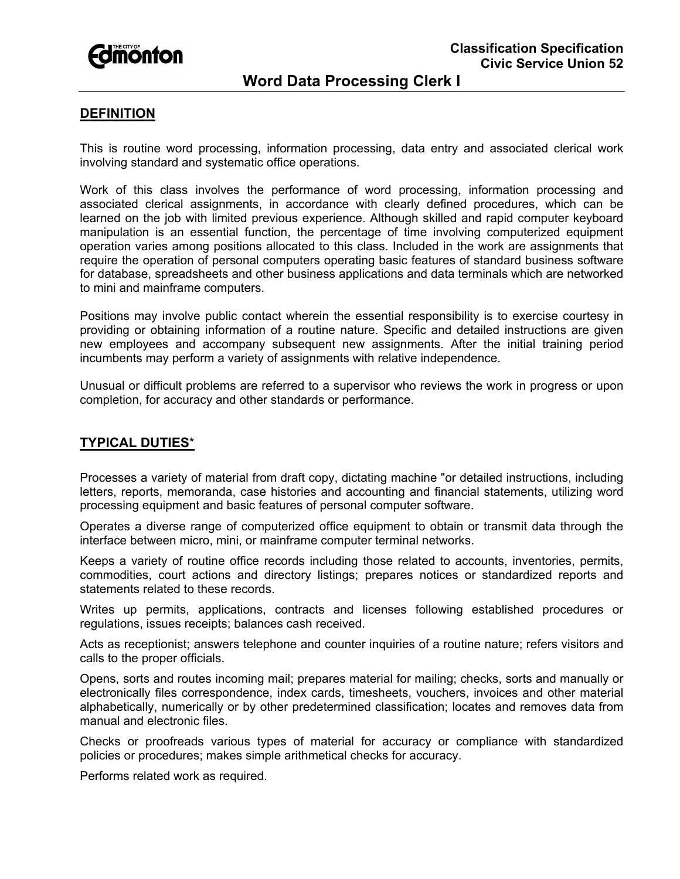

## **Word Data Processing Clerk I**

#### **DEFINITION**

This is routine word processing, information processing, data entry and associated clerical work involving standard and systematic office operations.

Work of this class involves the performance of word processing, information processing and associated clerical assignments, in accordance with clearly defined procedures, which can be learned on the job with limited previous experience. Although skilled and rapid computer keyboard manipulation is an essential function, the percentage of time involving computerized equipment operation varies among positions allocated to this class. Included in the work are assignments that require the operation of personal computers operating basic features of standard business software for database, spreadsheets and other business applications and data terminals which are networked to mini and mainframe computers.

Positions may involve public contact wherein the essential responsibility is to exercise courtesy in providing or obtaining information of a routine nature. Specific and detailed instructions are given new employees and accompany subsequent new assignments. After the initial training period incumbents may perform a variety of assignments with relative independence.

Unusual or difficult problems are referred to a supervisor who reviews the work in progress or upon completion, for accuracy and other standards or performance.

### **TYPICAL DUTIES**\*

Processes a variety of material from draft copy, dictating machine "or detailed instructions, including letters, reports, memoranda, case histories and accounting and financial statements, utilizing word processing equipment and basic features of personal computer software.

Operates a diverse range of computerized office equipment to obtain or transmit data through the interface between micro, mini, or mainframe computer terminal networks.

Keeps a variety of routine office records including those related to accounts, inventories, permits, commodities, court actions and directory listings; prepares notices or standardized reports and statements related to these records.

Writes up permits, applications, contracts and licenses following established procedures or regulations, issues receipts; balances cash received.

Acts as receptionist; answers telephone and counter inquiries of a routine nature; refers visitors and calls to the proper officials.

Opens, sorts and routes incoming mail; prepares material for mailing; checks, sorts and manually or electronically files correspondence, index cards, timesheets, vouchers, invoices and other material alphabetically, numerically or by other predetermined classification; locates and removes data from manual and electronic files.

Checks or proofreads various types of material for accuracy or compliance with standardized policies or procedures; makes simple arithmetical checks for accuracy.

Performs related work as required.